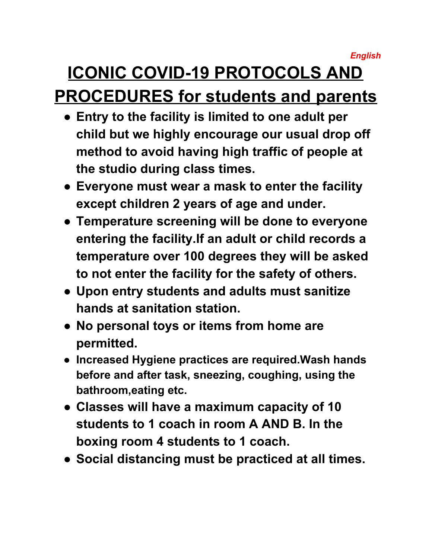*English*

## **ICONIC COVID-19 PROTOCOLS AND PROCEDURES for students and parents**

- **● Entry to the facility is limited to one adult per child but we highly encourage our usual drop off method to avoid having high traffic of people at the studio during class times.**
- **● Everyone must wear a mask to enter the facility except children 2 years of age and under.**
- **● Temperature screening will be done to everyone entering the facility.If an adult or child records a temperature over 100 degrees they will be asked to not enter the facility for the safety of others.**
- **● Upon entry students and adults must sanitize hands at sanitation station.**
- **● No personal toys or items from home are permitted.**
- **● Increased Hygiene practices are required.Wash hands before and after task, sneezing, coughing, using the bathroom,eating etc.**
- **● Classes will have a maximum capacity of 10 students to 1 coach in room A AND B. In the boxing room 4 students to 1 coach.**
- **● Social distancing must be practiced at all times.**